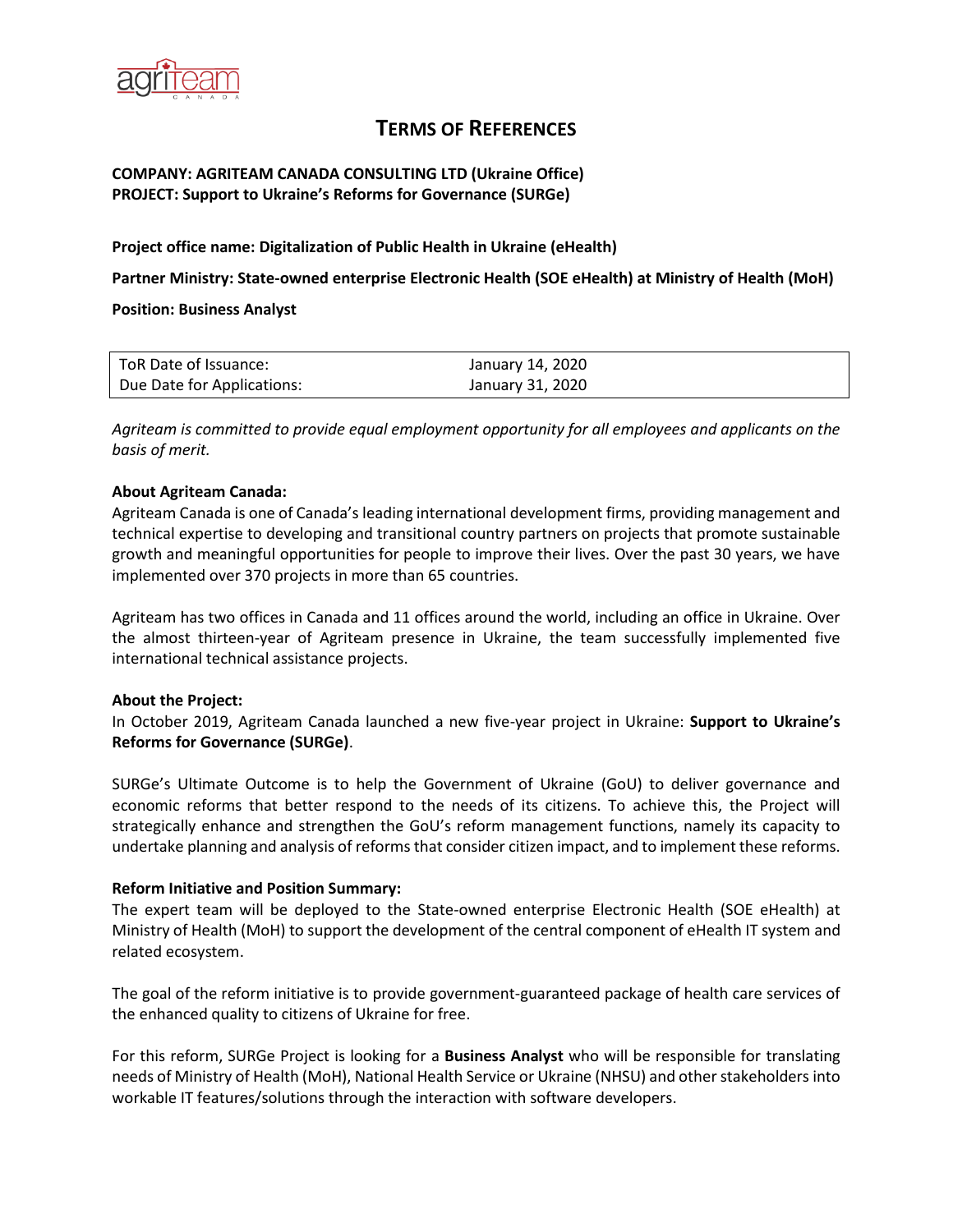

# **TERMS OF REFERENCES**

### **COMPANY: AGRITEAM CANADA CONSULTING LTD (Ukraine Office) PROJECT: Support to Ukraine's Reforms for Governance (SURGe)**

#### **Project office name: Digitalization of Public Health in Ukraine (eHealth)**

**Partner Ministry: State-owned enterprise Electronic Health (SOE eHealth) at Ministry of Health (MoH)**

**Position: Business Analyst**

| l ToR Date of Issuance:    | January 14, 2020 |
|----------------------------|------------------|
| Due Date for Applications: | January 31, 2020 |

*Agriteam is committed to provide equal employment opportunity for all employees and applicants on the basis of merit.*

#### **About Agriteam Canada:**

Agriteam Canada is one of Canada's leading international development firms, providing management and technical expertise to developing and transitional country partners on projects that promote sustainable growth and meaningful opportunities for people to improve their lives. Over the past 30 years, we have implemented over 370 projects in more than 65 countries.

Agriteam has two offices in Canada and 11 offices around the world, including an office in Ukraine. Over the almost thirteen-year of Agriteam presence in Ukraine, the team successfully implemented five international technical assistance projects.

#### **About the Project:**

In October 2019, Agriteam Canada launched a new five-year project in Ukraine: **Support to Ukraine's Reforms for Governance (SURGe)**.

SURGe's Ultimate Outcome is to help the Government of Ukraine (GoU) to deliver governance and economic reforms that better respond to the needs of its citizens. To achieve this, the Project will strategically enhance and strengthen the GoU's reform management functions, namely its capacity to undertake planning and analysis of reforms that consider citizen impact, and to implement these reforms.

#### **Reform Initiative and Position Summary:**

The expert team will be deployed to the State-owned enterprise Electronic Health (SOE eHealth) at Ministry of Health (MoH) to support the development of the central component of eHealth IT system and related ecosystem.

The goal of the reform initiative is to provide government-guaranteed package of health care services of the enhanced quality to citizens of Ukraine for free.

For this reform, SURGe Project is looking for а **Business Analyst** who will be responsible for translating needs of Ministry of Health (MoH), National Health Service or Ukraine (NHSU) and other stakeholders into workable IT features/solutions through the interaction with software developers.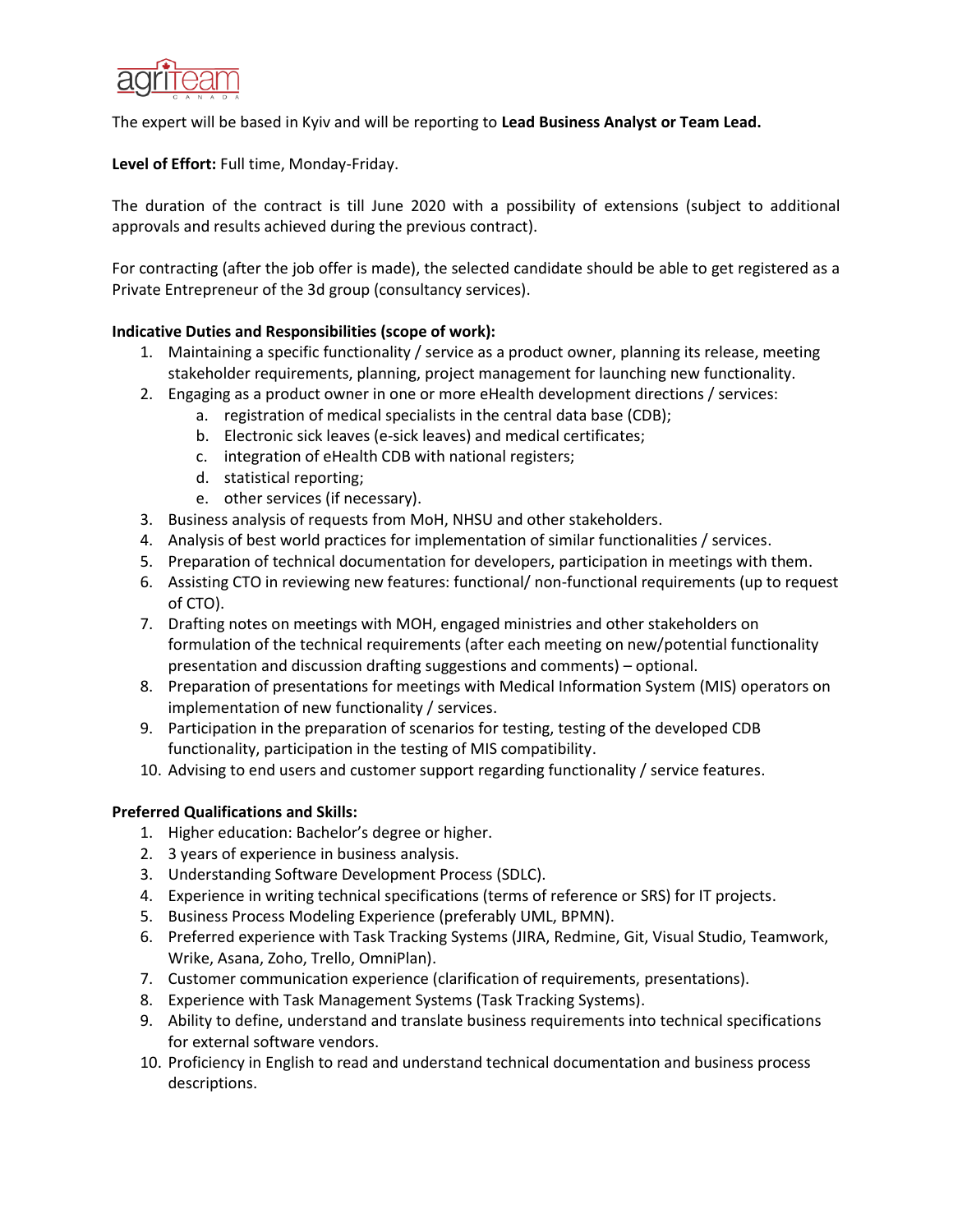

### The expert will be based in Kyiv and will be reporting to **Lead Business Analyst or Team Lead.**

**Level of Effort:** Full time, Monday-Friday.

The duration of the contract is till June 2020 with a possibility of extensions (subject to additional approvals and results achieved during the previous contract).

For contracting (after the job offer is made), the selected candidate should be able to get registered as a Private Entrepreneur of the 3d group (consultancy services).

# **Indicative Duties and Responsibilities (scope of work):**

- 1. Maintaining a specific functionality / service as a product owner, planning its release, meeting stakeholder requirements, planning, project management for launching new functionality.
- 2. Engaging as a product owner in one or more eHealth development directions / services:
	- a. registration of medical specialists in the central data base (CDB);
	- b. Electronic sick leaves (e-sick leaves) and medical certificates;
	- c. integration of eHealth CDB with national registers;
	- d. statistical reporting;
	- e. other services (if necessary).
- 3. Business analysis of requests from MoH, NHSU and other stakeholders.
- 4. Analysis of best world practices for implementation of similar functionalities / services.
- 5. Preparation of technical documentation for developers, participation in meetings with them.
- 6. Assisting CTO in reviewing new features: functional/ non-functional requirements (up to request of CTO).
- 7. Drafting notes on meetings with MOH, engaged ministries and other stakeholders on formulation of the technical requirements (after each meeting on new/potential functionality presentation and discussion drafting suggestions and comments) – optional.
- 8. Preparation of presentations for meetings with Medical Information System (MIS) operators on implementation of new functionality / services.
- 9. Participation in the preparation of scenarios for testing, testing of the developed CDB functionality, participation in the testing of MIS compatibility.
- 10. Advising to end users and customer support regarding functionality / service features.

#### **Preferred Qualifications and Skills:**

- 1. Higher education: Bachelor's degree or higher.
- 2. 3 years of experience in business analysis.
- 3. Understanding Software Development Process (SDLC).
- 4. Experience in writing technical specifications (terms of reference or SRS) for IT projects.
- 5. Business Process Modeling Experience (preferably UML, BPMN).
- 6. Preferred experience with Task Tracking Systems (JIRA, Redmine, Git, Visual Studio, Teamwork, Wrike, Asana, Zoho, Trello, OmniPlan).
- 7. Customer communication experience (clarification of requirements, presentations).
- 8. Experience with Task Management Systems (Task Tracking Systems).
- 9. Ability to define, understand and translate business requirements into technical specifications for external software vendors.
- 10. Proficiency in English to read and understand technical documentation and business process descriptions.